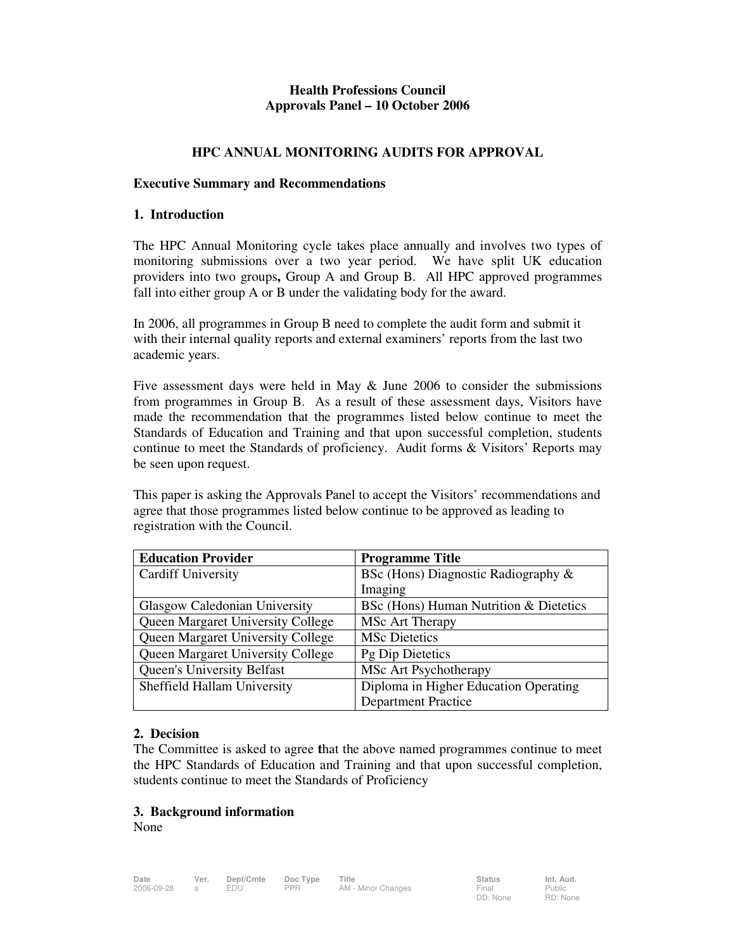# **Health Professions Council Approvals Panel – 10 October 2006**

## **HPC ANNUAL MONITORING AUDITS FOR APPROVAL**

### **Executive Summary and Recommendations**

### **1. Introduction**

The HPC Annual Monitoring cycle takes place annually and involves two types of monitoring submissions over a two year period. We have split UK education providers into two groups**,** Group A and Group B. All HPC approved programmes fall into either group A or B under the validating body for the award.

In 2006, all programmes in Group B need to complete the audit form and submit it with their internal quality reports and external examiners' reports from the last two academic years.

Five assessment days were held in May & June 2006 to consider the submissions from programmes in Group B. As a result of these assessment days, Visitors have made the recommendation that the programmes listed below continue to meet the Standards of Education and Training and that upon successful completion, students continue to meet the Standards of proficiency. Audit forms & Visitors' Reports may be seen upon request.

This paper is asking the Approvals Panel to accept the Visitors' recommendations and agree that those programmes listed below continue to be approved as leading to registration with the Council.

| <b>Education Provider</b>                | <b>Programme Title</b>                 |
|------------------------------------------|----------------------------------------|
| <b>Cardiff University</b>                | BSc (Hons) Diagnostic Radiography &    |
|                                          | Imaging                                |
| Glasgow Caledonian University            | BSc (Hons) Human Nutrition & Dietetics |
| <b>Queen Margaret University College</b> | MSc Art Therapy                        |
| Queen Margaret University College        | <b>MSc Dietetics</b>                   |
| Queen Margaret University College        | Pg Dip Dietetics                       |
| <b>Queen's University Belfast</b>        | MSc Art Psychotherapy                  |
| Sheffield Hallam University              | Diploma in Higher Education Operating  |
|                                          | <b>Department Practice</b>             |

## **2. Decision**

The Committee is asked to agree **t**hat the above named programmes continue to meet the HPC Standards of Education and Training and that upon successful completion, students continue to meet the Standards of Proficiency

#### **3. Background information**

None